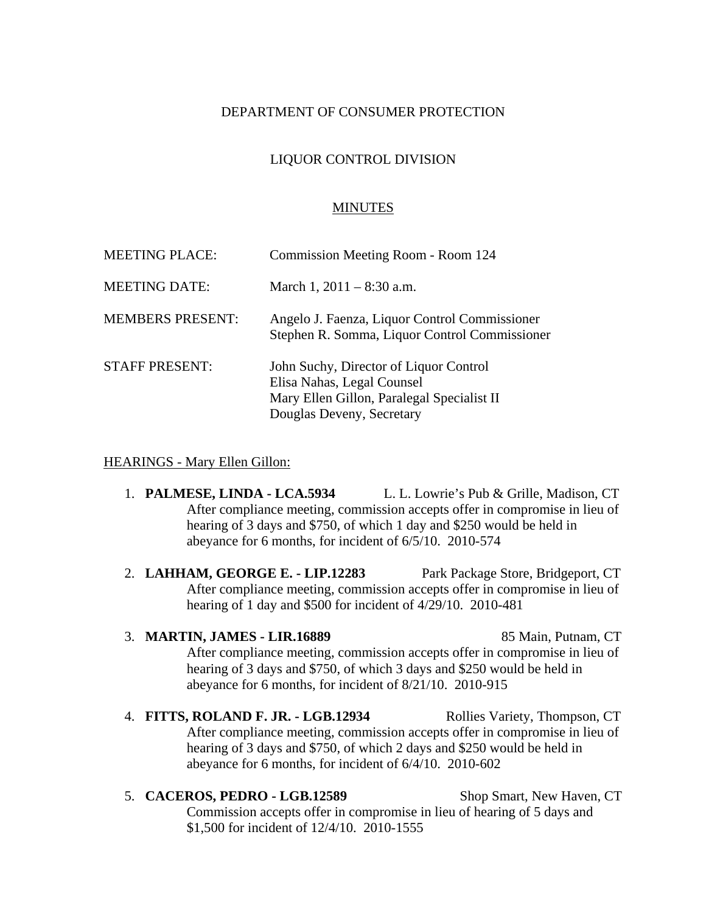### DEPARTMENT OF CONSUMER PROTECTION

## LIQUOR CONTROL DIVISION

#### MINUTES

| <b>MEETING PLACE:</b>   | Commission Meeting Room - Room 124                                                                                                              |
|-------------------------|-------------------------------------------------------------------------------------------------------------------------------------------------|
| <b>MEETING DATE:</b>    | March 1, $2011 - 8:30$ a.m.                                                                                                                     |
| <b>MEMBERS PRESENT:</b> | Angelo J. Faenza, Liquor Control Commissioner<br>Stephen R. Somma, Liquor Control Commissioner                                                  |
| <b>STAFF PRESENT:</b>   | John Suchy, Director of Liquor Control<br>Elisa Nahas, Legal Counsel<br>Mary Ellen Gillon, Paralegal Specialist II<br>Douglas Deveny, Secretary |

#### HEARINGS - Mary Ellen Gillon:

- 1. **PALMESE, LINDA LCA.5934** L. L. Lowrie's Pub & Grille, Madison, CT After compliance meeting, commission accepts offer in compromise in lieu of hearing of 3 days and \$750, of which 1 day and \$250 would be held in abeyance for 6 months, for incident of 6/5/10. 2010-574
- 2. **LAHHAM, GEORGE E. LIP.12283** Park Package Store, Bridgeport, CT After compliance meeting, commission accepts offer in compromise in lieu of hearing of 1 day and \$500 for incident of 4/29/10. 2010-481

3. **MARTIN, JAMES - LIR.16889** 85 Main, Putnam, CT After compliance meeting, commission accepts offer in compromise in lieu of hearing of 3 days and \$750, of which 3 days and \$250 would be held in abeyance for 6 months, for incident of 8/21/10. 2010-915

4. **FITTS, ROLAND F. JR. - LGB.12934** Rollies Variety, Thompson, CT After compliance meeting, commission accepts offer in compromise in lieu of hearing of 3 days and \$750, of which 2 days and \$250 would be held in abeyance for 6 months, for incident of 6/4/10. 2010-602

5. **CACEROS, PEDRO - LGB.12589** Shop Smart, New Haven, CT Commission accepts offer in compromise in lieu of hearing of 5 days and \$1,500 for incident of 12/4/10. 2010-1555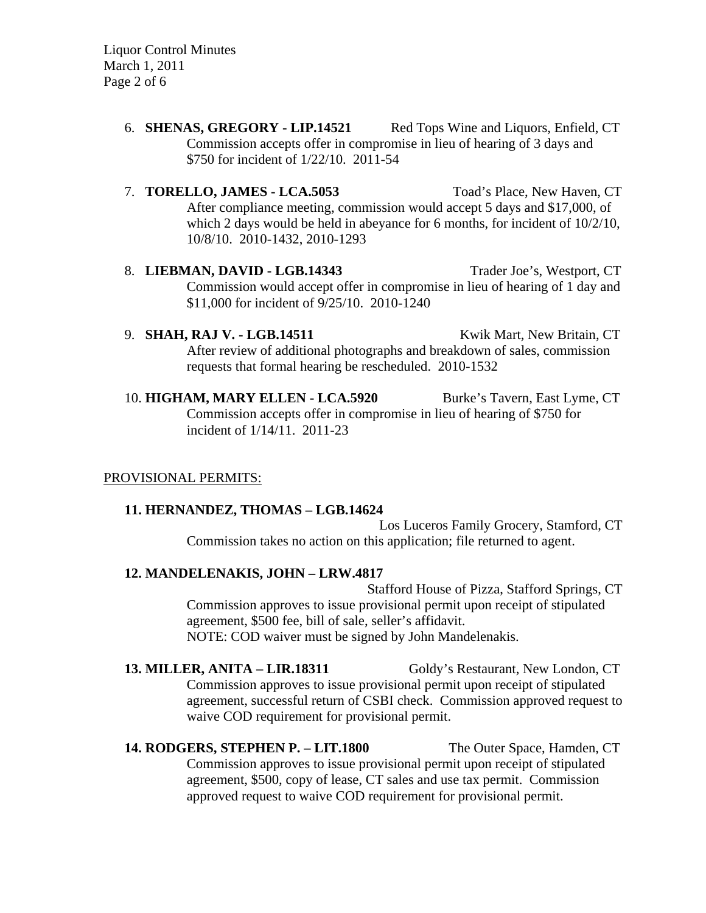Liquor Control Minutes March 1, 2011 Page 2 of 6

- 6. **SHENAS, GREGORY LIP.14521** Red Tops Wine and Liquors, Enfield, CT Commission accepts offer in compromise in lieu of hearing of 3 days and \$750 for incident of 1/22/10. 2011-54
- 7. **TORELLO, JAMES LCA.5053** Toad's Place, New Haven, CT After compliance meeting, commission would accept 5 days and \$17,000, of which 2 days would be held in abeyance for 6 months, for incident of  $10/2/10$ , 10/8/10. 2010-1432, 2010-1293
- 8. **LIEBMAN, DAVID LGB.14343** Trader Joe's, Westport, CT Commission would accept offer in compromise in lieu of hearing of 1 day and \$11,000 for incident of 9/25/10. 2010-1240
- 9. **SHAH, RAJ V. LGB.14511** Kwik Mart, New Britain, CT After review of additional photographs and breakdown of sales, commission requests that formal hearing be rescheduled. 2010-1532
- 10. **HIGHAM, MARY ELLEN LCA.5920** Burke's Tavern, East Lyme, CT Commission accepts offer in compromise in lieu of hearing of \$750 for incident of 1/14/11. 2011-23

# PROVISIONAL PERMITS:

# **11. HERNANDEZ, THOMAS – LGB.14624**

Los Luceros Family Grocery, Stamford, CT Commission takes no action on this application; file returned to agent.

# **12. MANDELENAKIS, JOHN – LRW.4817**

Stafford House of Pizza, Stafford Springs, CT Commission approves to issue provisional permit upon receipt of stipulated agreement, \$500 fee, bill of sale, seller's affidavit. NOTE: COD waiver must be signed by John Mandelenakis.

**13. MILLER, ANITA – LIR.18311** Goldy's Restaurant, New London, CT Commission approves to issue provisional permit upon receipt of stipulated agreement, successful return of CSBI check. Commission approved request to waive COD requirement for provisional permit.

**14. RODGERS, STEPHEN P. – LIT.1800** The Outer Space, Hamden, CT Commission approves to issue provisional permit upon receipt of stipulated agreement, \$500, copy of lease, CT sales and use tax permit. Commission approved request to waive COD requirement for provisional permit.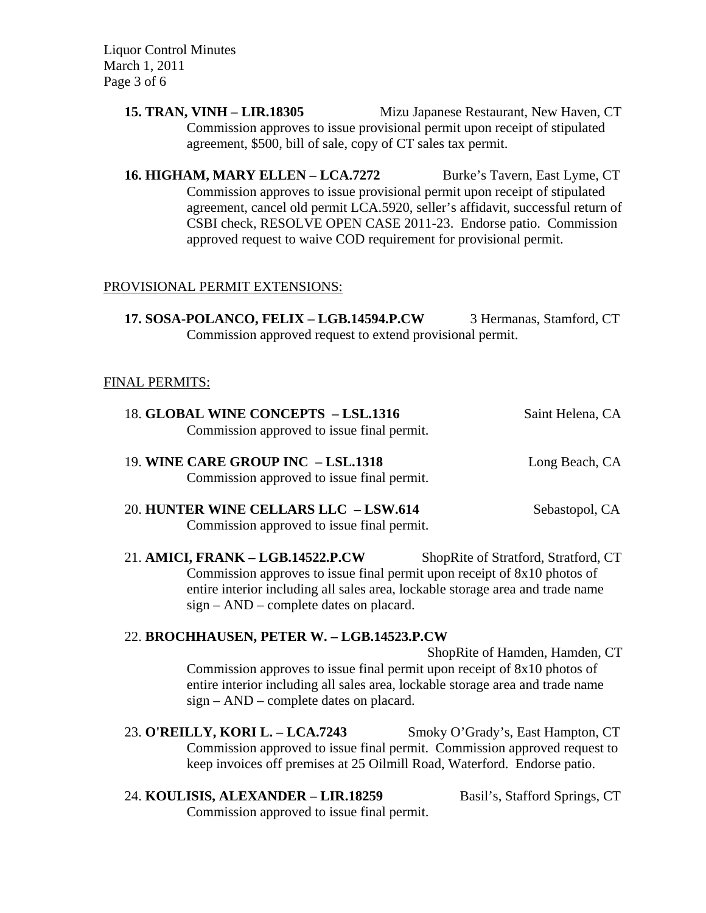Liquor Control Minutes March 1, 2011 Page 3 of 6

> **15. TRAN, VINH – LIR.18305** Mizu Japanese Restaurant, New Haven, CT Commission approves to issue provisional permit upon receipt of stipulated agreement, \$500, bill of sale, copy of CT sales tax permit.

> 16. **HIGHAM, MARY ELLEN – LCA.7272** Burke's Tavern, East Lyme, CT Commission approves to issue provisional permit upon receipt of stipulated agreement, cancel old permit LCA.5920, seller's affidavit, successful return of CSBI check, RESOLVE OPEN CASE 2011-23. Endorse patio. Commission approved request to waive COD requirement for provisional permit.

## PROVISIONAL PERMIT EXTENSIONS:

17. SOSA-POLANCO, FELIX - LGB.14594.P.CW 3 Hermanas, Stamford, CT Commission approved request to extend provisional permit.

### FINAL PERMITS:

| 18. GLOBAL WINE CONCEPTS - LSL.1316<br>Commission approved to issue final permit.          | Saint Helena, CA |
|--------------------------------------------------------------------------------------------|------------------|
| 19. WINE CARE GROUP INC - LSL.1318<br>Commission approved to issue final permit.           | Long Beach, CA   |
| <b>20. HUNTER WINE CELLARS LLC - LSW.614</b><br>Commission approved to issue final permit. | Sebastopol, CA   |

21. AMICI, FRANK - LGB.14522.P.CW ShopRite of Stratford, Stratford, CT Commission approves to issue final permit upon receipt of 8x10 photos of entire interior including all sales area, lockable storage area and trade name sign – AND – complete dates on placard.

#### 22. **BROCHHAUSEN, PETER W. – LGB.14523.P.CW**

ShopRite of Hamden, Hamden, CT Commission approves to issue final permit upon receipt of 8x10 photos of entire interior including all sales area, lockable storage area and trade name sign – AND – complete dates on placard.

23. **O'REILLY, KORI L. – LCA.7243** Smoky O'Grady's, East Hampton, CT Commission approved to issue final permit. Commission approved request to keep invoices off premises at 25 Oilmill Road, Waterford. Endorse patio.

24. **KOULISIS, ALEXANDER – LIR.18259** Basil's, Stafford Springs, CT Commission approved to issue final permit.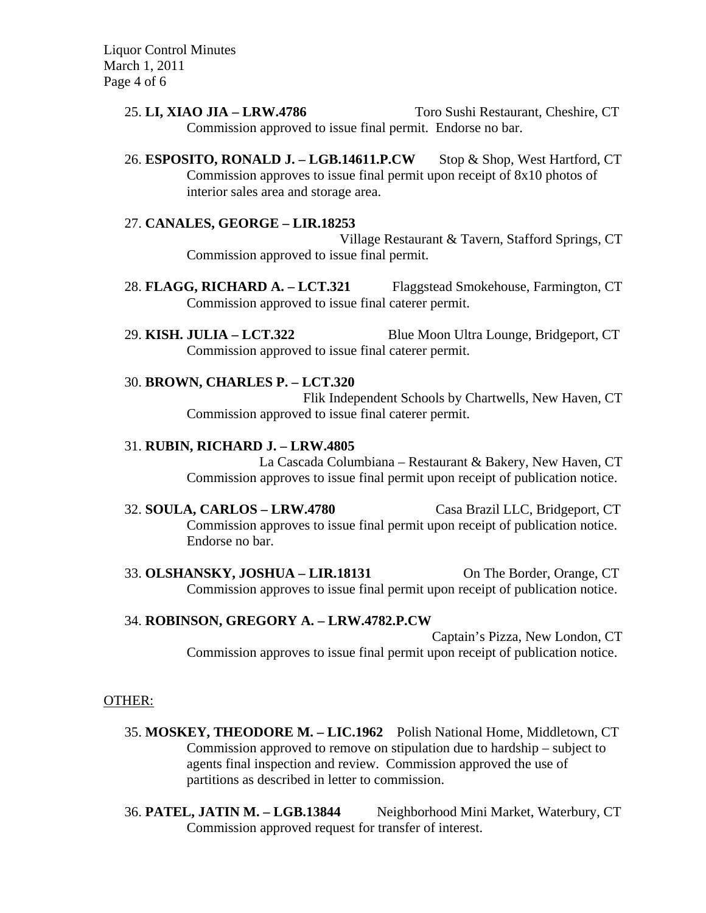Liquor Control Minutes March 1, 2011 Page 4 of 6

> 25. **LI, XIAO JIA – LRW.4786** Toro Sushi Restaurant, Cheshire, CT Commission approved to issue final permit. Endorse no bar.

> 26. **ESPOSITO, RONALD J. – LGB.14611.P.CW** Stop & Shop, West Hartford, CT Commission approves to issue final permit upon receipt of 8x10 photos of interior sales area and storage area.

### 27. **CANALES, GEORGE – LIR.18253**

Village Restaurant & Tavern, Stafford Springs, CT Commission approved to issue final permit.

- 28. **FLAGG, RICHARD A. LCT.321** Flaggstead Smokehouse, Farmington, CT Commission approved to issue final caterer permit.
- 29. **KISH. JULIA LCT.322** Blue Moon Ultra Lounge, Bridgeport, CT Commission approved to issue final caterer permit.

## 30. **BROWN, CHARLES P. – LCT.320**

Flik Independent Schools by Chartwells, New Haven, CT Commission approved to issue final caterer permit.

### 31. **RUBIN, RICHARD J. – LRW.4805**

La Cascada Columbiana – Restaurant & Bakery, New Haven, CT Commission approves to issue final permit upon receipt of publication notice.

32. **SOULA, CARLOS – LRW.4780** Casa Brazil LLC, Bridgeport, CT Commission approves to issue final permit upon receipt of publication notice. Endorse no bar.

33. **OLSHANSKY, JOSHUA – LIR.18131** On The Border, Orange, CT Commission approves to issue final permit upon receipt of publication notice.

# 34. **ROBINSON, GREGORY A. – LRW.4782.P.CW**

Captain's Pizza, New London, CT Commission approves to issue final permit upon receipt of publication notice.

### OTHER:

- 35. **MOSKEY, THEODORE M. LIC.1962** Polish National Home, Middletown, CT Commission approved to remove on stipulation due to hardship – subject to agents final inspection and review. Commission approved the use of partitions as described in letter to commission.
- 36. **PATEL, JATIN M. LGB.13844** Neighborhood Mini Market, Waterbury, CT Commission approved request for transfer of interest.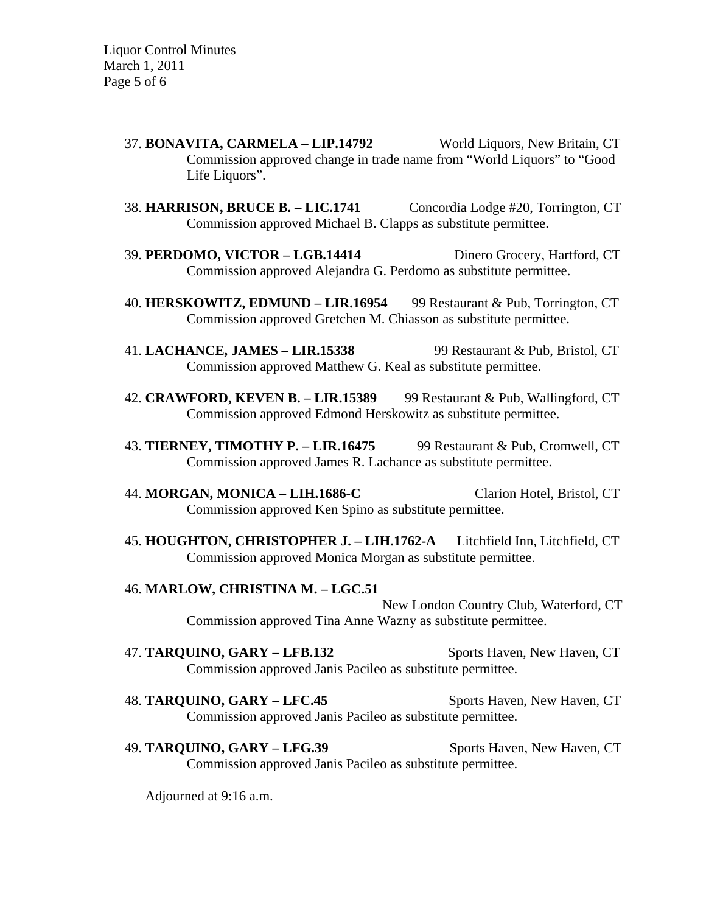- 37. **BONAVITA, CARMELA LIP.14792** World Liquors, New Britain, CT Commission approved change in trade name from "World Liquors" to "Good Life Liquors".
- 38. **HARRISON, BRUCE B. LIC.1741** Concordia Lodge #20, Torrington, CT Commission approved Michael B. Clapps as substitute permittee.
- 39. **PERDOMO, VICTOR LGB.14414** Dinero Grocery, Hartford, CT Commission approved Alejandra G. Perdomo as substitute permittee.
- 40. **HERSKOWITZ, EDMUND LIR.16954** 99 Restaurant & Pub, Torrington, CT Commission approved Gretchen M. Chiasson as substitute permittee.
- 41. **LACHANCE, JAMES LIR.15338** 99 Restaurant & Pub, Bristol, CT Commission approved Matthew G. Keal as substitute permittee.
- 42. **CRAWFORD, KEVEN B. LIR.15389** 99 Restaurant & Pub, Wallingford, CT Commission approved Edmond Herskowitz as substitute permittee.
- 43. **TIERNEY, TIMOTHY P. LIR.16475** 99 Restaurant & Pub, Cromwell, CT Commission approved James R. Lachance as substitute permittee.
- 44. **MORGAN, MONICA LIH.1686-C** Clarion Hotel, Bristol, CT Commission approved Ken Spino as substitute permittee.
- 45. **HOUGHTON, CHRISTOPHER J. LIH.1762-A** Litchfield Inn, Litchfield, CT Commission approved Monica Morgan as substitute permittee.

#### 46. **MARLOW, CHRISTINA M. – LGC.51**

New London Country Club, Waterford, CT Commission approved Tina Anne Wazny as substitute permittee.

- 47. **TARQUINO, GARY LFB.132** Sports Haven, New Haven, CT Commission approved Janis Pacileo as substitute permittee.
- 48. **TARQUINO, GARY LFC.45** Sports Haven, New Haven, CT Commission approved Janis Pacileo as substitute permittee.
- 49. **TARQUINO, GARY LFG.39** Sports Haven, New Haven, CT Commission approved Janis Pacileo as substitute permittee.

Adjourned at 9:16 a.m.